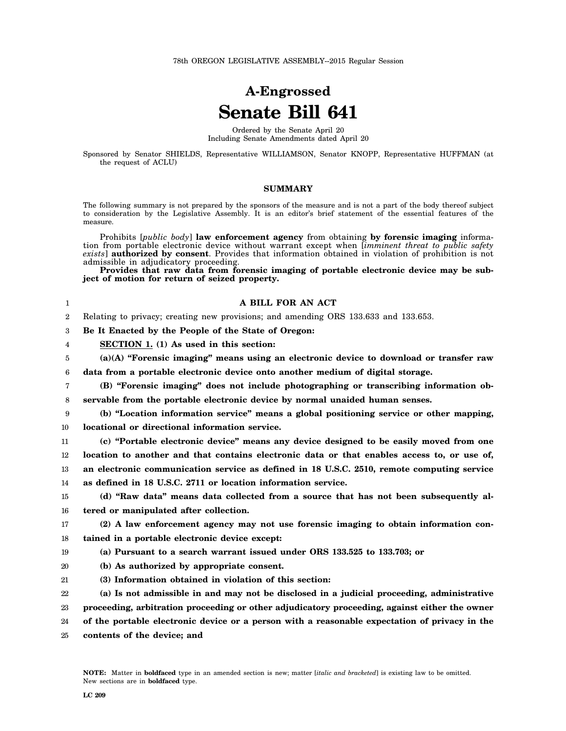## **A-Engrossed Senate Bill 641**

Ordered by the Senate April 20 Including Senate Amendments dated April 20

Sponsored by Senator SHIELDS, Representative WILLIAMSON, Senator KNOPP, Representative HUFFMAN (at the request of ACLU)

## **SUMMARY**

The following summary is not prepared by the sponsors of the measure and is not a part of the body thereof subject to consideration by the Legislative Assembly. It is an editor's brief statement of the essential features of the measure.

Prohibits [*public body*] **law enforcement agency** from obtaining **by forensic imaging** information from portable electronic device without warrant except when [*imminent threat to public safety exists*] **authorized by consent**. Provides that information obtained in violation of prohibition is not admissible in adjudicatory proceeding.

**Provides that raw data from forensic imaging of portable electronic device may be subject of motion for return of seized property.**

| 1      | A BILL FOR AN ACT                                                                             |
|--------|-----------------------------------------------------------------------------------------------|
| 2      | Relating to privacy; creating new provisions; and amending ORS 133.633 and 133.653.           |
| 3      | Be It Enacted by the People of the State of Oregon:                                           |
| 4      | SECTION 1. (1) As used in this section:                                                       |
| 5      | $(a)(A)$ "Forensic imaging" means using an electronic device to download or transfer raw      |
| 6      | data from a portable electronic device onto another medium of digital storage.                |
| 7      | (B) "Forensic imaging" does not include photographing or transcribing information ob-         |
| 8      | servable from the portable electronic device by normal unaided human senses.                  |
| 9      | (b) "Location information service" means a global positioning service or other mapping,       |
| 10     | locational or directional information service.                                                |
| $11\,$ | (c) "Portable electronic device" means any device designed to be easily moved from one        |
| 12     | location to another and that contains electronic data or that enables access to, or use of,   |
| 13     | an electronic communication service as defined in 18 U.S.C. 2510, remote computing service    |
| 14     | as defined in 18 U.S.C. 2711 or location information service.                                 |
| 15     | (d) "Raw data" means data collected from a source that has not been subsequently al-          |
| 16     | tered or manipulated after collection.                                                        |
| 17     | (2) A law enforcement agency may not use forensic imaging to obtain information con-          |
| 18     | tained in a portable electronic device except:                                                |
| 19     | (a) Pursuant to a search warrant issued under ORS 133.525 to 133.703; or                      |
| 20     | (b) As authorized by appropriate consent.                                                     |
| 21     | (3) Information obtained in violation of this section:                                        |
| 22     | (a) Is not admissible in and may not be disclosed in a judicial proceeding, administrative    |
| 23     | proceeding, arbitration proceeding or other adjudicatory proceeding, against either the owner |

24 **of the portable electronic device or a person with a reasonable expectation of privacy in the**

25 **contents of the device; and**